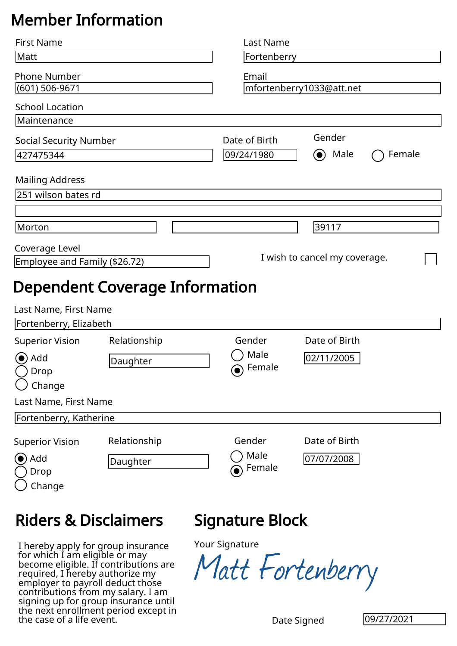## Member Information

| <b>First Name</b>                                                      |                                                                                                               |  | Last Name                     |               |            |  |  |
|------------------------------------------------------------------------|---------------------------------------------------------------------------------------------------------------|--|-------------------------------|---------------|------------|--|--|
| Matt                                                                   |                                                                                                               |  | Fortenberry                   |               |            |  |  |
| <b>Phone Number</b>                                                    |                                                                                                               |  | Email                         |               |            |  |  |
| (601) 506-9671                                                         |                                                                                                               |  | mfortenberry1033@att.net      |               |            |  |  |
| <b>School Location</b>                                                 |                                                                                                               |  |                               |               |            |  |  |
| Maintenance                                                            |                                                                                                               |  |                               |               |            |  |  |
| <b>Social Security Number</b>                                          |                                                                                                               |  | Date of Birth                 | Gender        |            |  |  |
| 427475344                                                              |                                                                                                               |  | 09/24/1980                    | Male          | Female     |  |  |
| <b>Mailing Address</b>                                                 |                                                                                                               |  |                               |               |            |  |  |
| 251 wilson bates rd                                                    |                                                                                                               |  |                               |               |            |  |  |
|                                                                        |                                                                                                               |  |                               |               |            |  |  |
| Morton                                                                 |                                                                                                               |  |                               | 39117         |            |  |  |
|                                                                        |                                                                                                               |  |                               |               |            |  |  |
| Coverage Level<br>Employee and Family (\$26.72)                        |                                                                                                               |  | I wish to cancel my coverage. |               |            |  |  |
|                                                                        |                                                                                                               |  |                               |               |            |  |  |
|                                                                        | <b>Dependent Coverage Information</b>                                                                         |  |                               |               |            |  |  |
| Last Name, First Name                                                  |                                                                                                               |  |                               |               |            |  |  |
| Fortenberry, Elizabeth                                                 |                                                                                                               |  |                               |               |            |  |  |
| <b>Superior Vision</b>                                                 | Relationship                                                                                                  |  | Gender                        | Date of Birth |            |  |  |
| Add                                                                    | Daughter                                                                                                      |  | Male                          | 02/11/2005    |            |  |  |
| Drop                                                                   |                                                                                                               |  | Female<br>$\bullet)$          |               |            |  |  |
| Change                                                                 |                                                                                                               |  |                               |               |            |  |  |
| Last Name, First Name                                                  |                                                                                                               |  |                               |               |            |  |  |
| Fortenberry, Katherine                                                 |                                                                                                               |  |                               |               |            |  |  |
| <b>Superior Vision</b>                                                 | Relationship                                                                                                  |  | Gender                        | Date of Birth |            |  |  |
| (●) Add                                                                |                                                                                                               |  | Male                          | 07/07/2008    |            |  |  |
| Drop                                                                   | Daughter                                                                                                      |  | Female                        |               |            |  |  |
| Change                                                                 |                                                                                                               |  |                               |               |            |  |  |
|                                                                        |                                                                                                               |  |                               |               |            |  |  |
| <b>Riders &amp; Disclaimers</b>                                        |                                                                                                               |  | Signature Block               |               |            |  |  |
|                                                                        | I hereby apply for group insurance<br>for which I am eligible or may<br>become eligible. If contributions are |  | Your Signature                |               |            |  |  |
| required, I hereby authorize my                                        |                                                                                                               |  | Matt Fortenberry              |               |            |  |  |
| employer to payroll deduct those<br>contributions from my salary. I am |                                                                                                               |  |                               |               |            |  |  |
|                                                                        | signing up for group insurance until                                                                          |  |                               |               |            |  |  |
| the next enrollment period except in<br>the case of a life event.      |                                                                                                               |  |                               | Date Signed   | 09/27/2021 |  |  |

## Riders & Disclaimers

## Signature Block